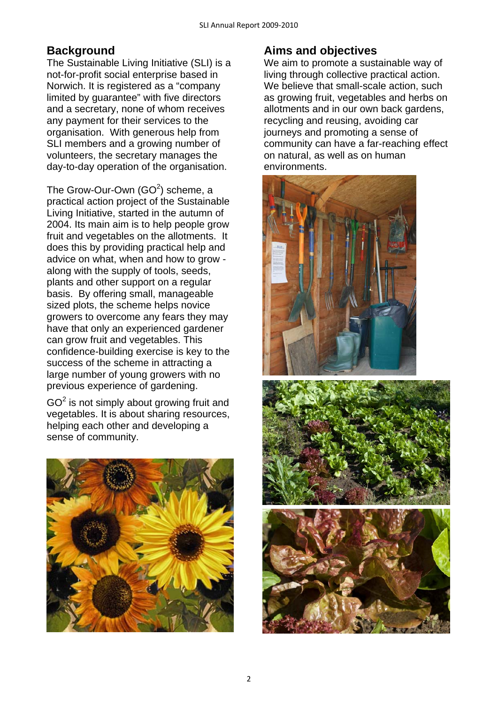# **Background**

The Sustainable Living Initiative (SLI) is a not-for-profit social enterprise based in Norwich. It is registered as a "company limited by guarantee" with five directors and a secretary, none of whom receives any payment for their services to the organisation. With generous help from SLI members and a growing number of volunteers, the secretary manages the day-to-day operation of the organisation.

The Grow-Our-Own (GO $2$ ) scheme, a practical action project of the Sustainable Living Initiative, started in the autumn of 2004. Its main aim is to help people grow fruit and vegetables on the allotments. It does this by providing practical help and advice on what, when and how to grow along with the supply of tools, seeds, plants and other support on a regular basis. By offering small, manageable sized plots, the scheme helps novice growers to overcome any fears they may have that only an experienced gardener can grow fruit and vegetables. This confidence-building exercise is key to the success of the scheme in attracting a large number of young growers with no previous experience of gardening.

 $GO<sup>2</sup>$  is not simply about growing fruit and vegetables. It is about sharing resources, helping each other and developing a sense of community.



# **Aims and objectives**

We aim to promote a sustainable way of living through collective practical action. We believe that small-scale action, such as growing fruit, vegetables and herbs on allotments and in our own back gardens, recycling and reusing, avoiding car journeys and promoting a sense of community can have a far-reaching effect on natural, as well as on human environments.





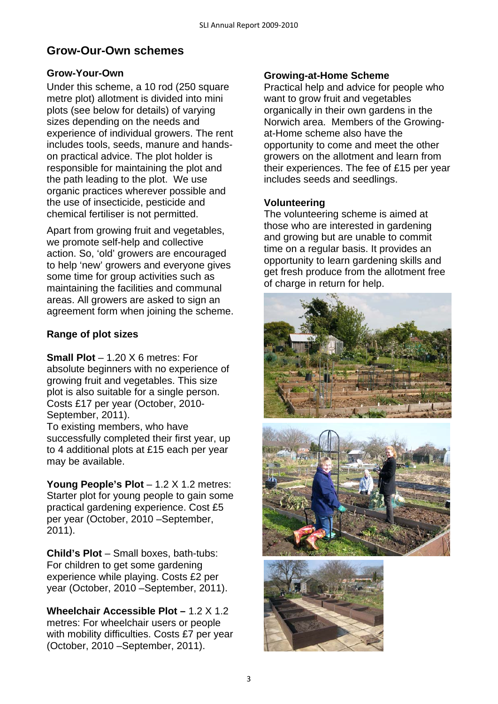# **Grow-Our-Own schemes**

### **Grow-Your-Own**

Under this scheme, a 10 rod (250 square metre plot) allotment is divided into mini plots (see below for details) of varying sizes depending on the needs and experience of individual growers. The rent includes tools, seeds, manure and handson practical advice. The plot holder is responsible for maintaining the plot and the path leading to the plot. We use organic practices wherever possible and the use of insecticide, pesticide and chemical fertiliser is not permitted.

Apart from growing fruit and vegetables, we promote self-help and collective action. So, 'old' growers are encouraged to help 'new' growers and everyone gives some time for group activities such as maintaining the facilities and communal areas. All growers are asked to sign an agreement form when joining the scheme.

### **Range of plot sizes**

**Small Plot** – 1.20 X 6 metres: For absolute beginners with no experience of growing fruit and vegetables. This size plot is also suitable for a single person. Costs £17 per year (October, 2010- September, 2011).

To existing members, who have successfully completed their first year, up to 4 additional plots at £15 each per year may be available.

**Young People's Plot** – 1.2 X 1.2 metres: Starter plot for young people to gain some practical gardening experience. Cost £5 per year (October, 2010 –September, 2011).

**Child's Plot** – Small boxes, bath-tubs: For children to get some gardening experience while playing. Costs £2 per year (October, 2010 –September, 2011).

**Wheelchair Accessible Plot –** 1.2 X 1.2 metres: For wheelchair users or people with mobility difficulties. Costs £7 per year (October, 2010 –September, 2011).

### **Growing-at-Home Scheme**

Practical help and advice for people who want to grow fruit and vegetables organically in their own gardens in the Norwich area. Members of the Growingat-Home scheme also have the opportunity to come and meet the other growers on the allotment and learn from their experiences. The fee of £15 per year includes seeds and seedlings.

### **Volunteering**

The volunteering scheme is aimed at those who are interested in gardening and growing but are unable to commit time on a regular basis. It provides an opportunity to learn gardening skills and get fresh produce from the allotment free of charge in return for help.





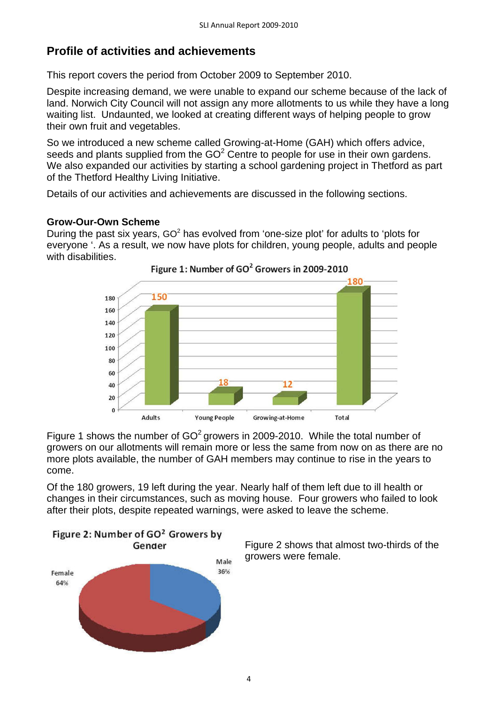## **Profile of activities and achievements**

This report covers the period from October 2009 to September 2010.

Despite increasing demand, we were unable to expand our scheme because of the lack of land. Norwich City Council will not assign any more allotments to us while they have a long waiting list. Undaunted, we looked at creating different ways of helping people to grow their own fruit and vegetables.

So we introduced a new scheme called Growing-at-Home (GAH) which offers advice, seeds and plants supplied from the  $GO<sup>2</sup>$  Centre to people for use in their own gardens. We also expanded our activities by starting a school gardening project in Thetford as part of the Thetford Healthy Living Initiative.

Details of our activities and achievements are discussed in the following sections.

#### **Grow-Our-Own Scheme**

During the past six years, GO<sup>2</sup> has evolved from 'one-size plot' for adults to 'plots for everyone '. As a result, we now have plots for children, young people, adults and people with disabilities.





Figure 1 shows the number of  $GO^2$  growers in 2009-2010. While the total number of growers on our allotments will remain more or less the same from now on as there are no more plots available, the number of GAH members may continue to rise in the years to come.

Of the 180 growers, 19 left during the year. Nearly half of them left due to ill health or changes in their circumstances, such as moving house. Four growers who failed to look after their plots, despite repeated warnings, were asked to leave the scheme.



Figure 2 shows that almost two-thirds of the growers were female.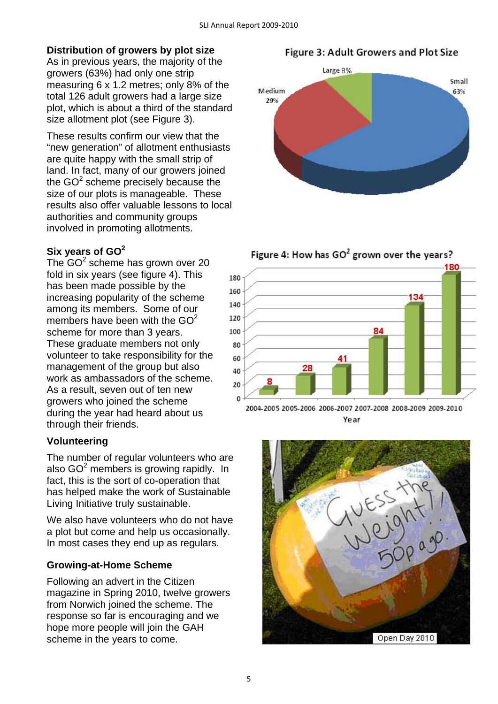### **Distribution of growers by plot size**

As in previous years, the majority of the growers (63%) had only one strip measuring 6 x 1.2 metres; only 8% of the total 126 adult growers had a large size plot, which is about a third of the standard size allotment plot (see Figure 3).

These results confirm our view that the "new generation" of allotment enthusiasts are quite happy with the small strip of land. In fact, many of our growers joined the GO $2$  scheme precisely because the size of our plots is manageable. These results also offer valuable lessons to local authorities and community groups involved in promoting allotments.

### **Six years of GO<sup>2</sup>**

The  $GO^2$  scheme has grown over 20 fold in six years (see figure 4). This has been made possible by the increasing popularity of the scheme among its members. Some of our members have been with the  $GO<sup>2</sup>$ scheme for more than 3 years. These graduate members not only volunteer to take responsibility for the management of the group but also work as ambassadors of the scheme. As a result, seven out of ten new growers who joined the scheme during the year had heard about us through their friends.

#### **Volunteering**

The number of regular volunteers who are also GO $2$  members is growing rapidly. In fact, this is the sort of co-operation that has helped make the work of Sustainable Living Initiative truly sustainable.

We also have volunteers who do not have a plot but come and help us occasionally. In most cases they end up as regulars.

#### **Growing-at-Home Scheme**

Following an advert in the Citizen magazine in Spring 2010, twelve growers from Norwich joined the scheme. The response so far is encouraging and we hope more people will join the GAH scheme in the years to come.

**Figure 3: Adult Growers and Plot Size** 







2004-2005 2005-2006 2006-2007 2007-2008 2008-2009 2009-2010 Year

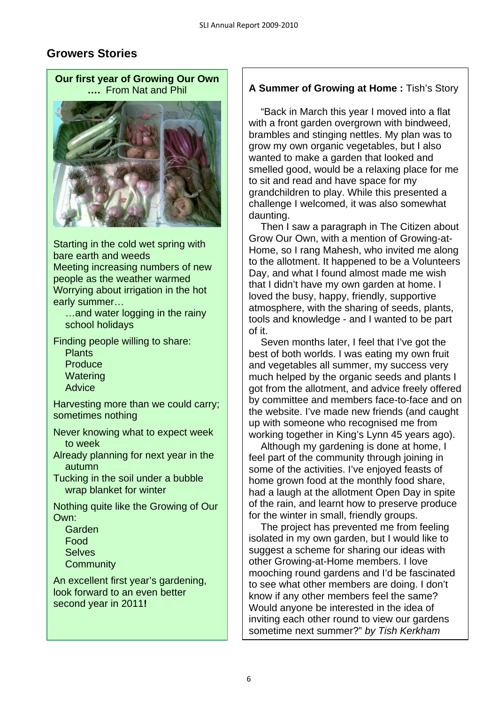# **Growers Stories**

**Our first year of Growing Our Own ….** From Nat and Phil



Starting in the cold wet spring with bare earth and weeds Meeting increasing numbers of new people as the weather warmed Worrying about irrigation in the hot early summer…

…and water logging in the rainy school holidays

Finding people willing to share:

Plants **Produce Watering** Advice

Harvesting more than we could carry; sometimes nothing

Never knowing what to expect week to week

Already planning for next year in the autumn

Tucking in the soil under a bubble wrap blanket for winter

Nothing quite like the Growing of Our Own:

Garden Food **Selves Community** 

An excellent first year's gardening, look forward to an even better second year in 2011**!**

## **A Summer of Growing at Home :** Tish's Story

 "Back in March this year I moved into a flat with a front garden overgrown with bindweed, brambles and stinging nettles. My plan was to grow my own organic vegetables, but I also wanted to make a garden that looked and smelled good, would be a relaxing place for me to sit and read and have space for my grandchildren to play. While this presented a challenge I welcomed, it was also somewhat daunting.

 Then I saw a paragraph in The Citizen about Grow Our Own, with a mention of Growing-at-Home, so I rang Mahesh, who invited me along to the allotment. It happened to be a Volunteers Day, and what I found almost made me wish that I didn't have my own garden at home. I loved the busy, happy, friendly, supportive atmosphere, with the sharing of seeds, plants, tools and knowledge - and I wanted to be part of it.

 Seven months later, I feel that I've got the best of both worlds. I was eating my own fruit and vegetables all summer, my success very much helped by the organic seeds and plants I got from the allotment, and advice freely offered by committee and members face-to-face and on the website. I've made new friends (and caught up with someone who recognised me from working together in King's Lynn 45 years ago).

 Although my gardening is done at home, I feel part of the community through joining in some of the activities. I've enjoyed feasts of home grown food at the monthly food share. had a laugh at the allotment Open Day in spite of the rain, and learnt how to preserve produce for the winter in small, friendly groups.

 The project has prevented me from feeling isolated in my own garden, but I would like to suggest a scheme for sharing our ideas with other Growing-at-Home members. I love mooching round gardens and I'd be fascinated to see what other members are doing. I don't know if any other members feel the same? Would anyone be interested in the idea of inviting each other round to view our gardens sometime next summer?" *by Tish Kerkham*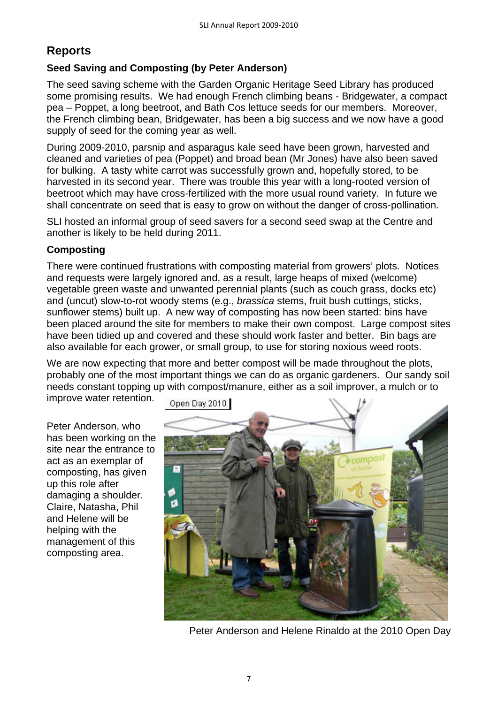# **Reports**

## **Seed Saving and Composting (by Peter Anderson)**

The seed saving scheme with the Garden Organic Heritage Seed Library has produced some promising results. We had enough French climbing beans - Bridgewater, a compact pea – Poppet, a long beetroot, and Bath Cos lettuce seeds for our members. Moreover, the French climbing bean, Bridgewater, has been a big success and we now have a good supply of seed for the coming year as well.

During 2009-2010, parsnip and asparagus kale seed have been grown, harvested and cleaned and varieties of pea (Poppet) and broad bean (Mr Jones) have also been saved for bulking. A tasty white carrot was successfully grown and, hopefully stored, to be harvested in its second year. There was trouble this year with a long-rooted version of beetroot which may have cross-fertilized with the more usual round variety. In future we shall concentrate on seed that is easy to grow on without the danger of cross-pollination.

SLI hosted an informal group of seed savers for a second seed swap at the Centre and another is likely to be held during 2011.

## **Composting**

There were continued frustrations with composting material from growers' plots. Notices and requests were largely ignored and, as a result, large heaps of mixed (welcome) vegetable green waste and unwanted perennial plants (such as couch grass, docks etc) and (uncut) slow-to-rot woody stems (e.g., *brassica* stems, fruit bush cuttings, sticks, sunflower stems) built up. A new way of composting has now been started: bins have been placed around the site for members to make their own compost. Large compost sites have been tidied up and covered and these should work faster and better. Bin bags are also available for each grower, or small group, to use for storing noxious weed roots.

We are now expecting that more and better compost will be made throughout the plots, probably one of the most important things we can do as organic gardeners. Our sandy soil needs constant topping up with compost/manure, either as a soil improver, a mulch or to

improve water retention.

Peter Anderson, who has been working on the site near the entrance to act as an exemplar of composting, has given up this role after damaging a shoulder. Claire, Natasha, Phil and Helene will be helping with the management of this composting area.



Peter Anderson and Helene Rinaldo at the 2010 Open Day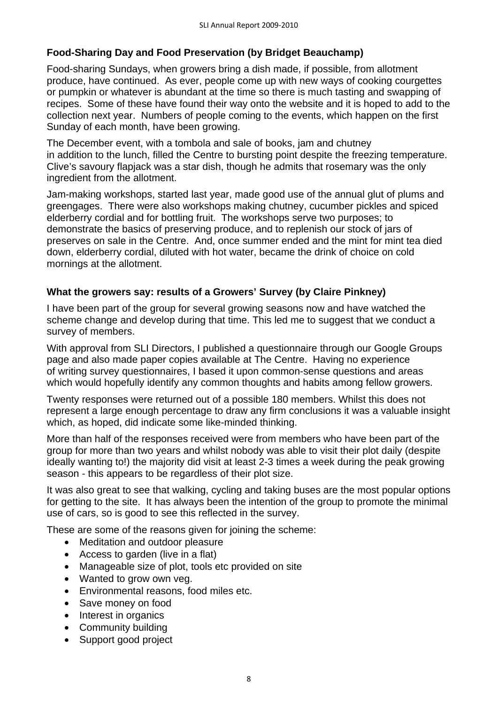### **Food-Sharing Day and Food Preservation (by Bridget Beauchamp)**

Food-sharing Sundays, when growers bring a dish made, if possible, from allotment produce, have continued. As ever, people come up with new ways of cooking courgettes or pumpkin or whatever is abundant at the time so there is much tasting and swapping of recipes. Some of these have found their way onto the website and it is hoped to add to the collection next year. Numbers of people coming to the events, which happen on the first Sunday of each month, have been growing.

The December event, with a tombola and sale of books, jam and chutney in addition to the lunch, filled the Centre to bursting point despite the freezing temperature. Clive's savoury flapjack was a star dish, though he admits that rosemary was the only ingredient from the allotment.

Jam-making workshops, started last year, made good use of the annual glut of plums and greengages. There were also workshops making chutney, cucumber pickles and spiced elderberry cordial and for bottling fruit. The workshops serve two purposes; to demonstrate the basics of preserving produce, and to replenish our stock of jars of preserves on sale in the Centre. And, once summer ended and the mint for mint tea died down, elderberry cordial, diluted with hot water, became the drink of choice on cold mornings at the allotment.

### **What the growers say: results of a Growers' Survey (by Claire Pinkney)**

I have been part of the group for several growing seasons now and have watched the scheme change and develop during that time. This led me to suggest that we conduct a survey of members.

With approval from SLI Directors, I published a questionnaire through our Google Groups page and also made paper copies available at The Centre. Having no experience of writing survey questionnaires, I based it upon common-sense questions and areas which would hopefully identify any common thoughts and habits among fellow growers.

Twenty responses were returned out of a possible 180 members. Whilst this does not represent a large enough percentage to draw any firm conclusions it was a valuable insight which, as hoped, did indicate some like-minded thinking.

More than half of the responses received were from members who have been part of the group for more than two years and whilst nobody was able to visit their plot daily (despite ideally wanting to!) the majority did visit at least 2-3 times a week during the peak growing season - this appears to be regardless of their plot size.

It was also great to see that walking, cycling and taking buses are the most popular options for getting to the site. It has always been the intention of the group to promote the minimal use of cars, so is good to see this reflected in the survey.

These are some of the reasons given for joining the scheme:

- Meditation and outdoor pleasure
- Access to garden (live in a flat)
- Manageable size of plot, tools etc provided on site
- Wanted to grow own veg.
- Environmental reasons, food miles etc.
- Save money on food
- Interest in organics
- Community building
- Support good project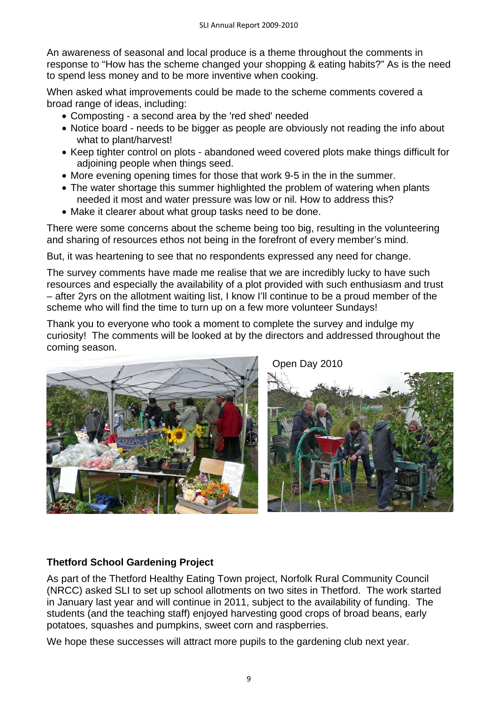An awareness of seasonal and local produce is a theme throughout the comments in response to "How has the scheme changed your shopping & eating habits?" As is the need to spend less money and to be more inventive when cooking.

When asked what improvements could be made to the scheme comments covered a broad range of ideas, including:

- Composting a second area by the 'red shed' needed
- Notice board needs to be bigger as people are obviously not reading the info about what to plant/harvest!
- Keep tighter control on plots abandoned weed covered plots make things difficult for adjoining people when things seed.
- More evening opening times for those that work 9-5 in the in the summer.
- The water shortage this summer highlighted the problem of watering when plants needed it most and water pressure was low or nil. How to address this?
- Make it clearer about what group tasks need to be done.

There were some concerns about the scheme being too big, resulting in the volunteering and sharing of resources ethos not being in the forefront of every member's mind.

But, it was heartening to see that no respondents expressed any need for change.

The survey comments have made me realise that we are incredibly lucky to have such resources and especially the availability of a plot provided with such enthusiasm and trust – after 2yrs on the allotment waiting list, I know I'll continue to be a proud member of the scheme who will find the time to turn up on a few more volunteer Sundays!

Thank you to everyone who took a moment to complete the survey and indulge my curiosity! The comments will be looked at by the directors and addressed throughout the coming season.



Open Day 2010



## **Thetford School Gardening Project**

As part of the Thetford Healthy Eating Town project, Norfolk Rural Community Council (NRCC) asked SLI to set up school allotments on two sites in Thetford. The work started in January last year and will continue in 2011, subject to the availability of funding. The students (and the teaching staff) enjoyed harvesting good crops of broad beans, early potatoes, squashes and pumpkins, sweet corn and raspberries.

We hope these successes will attract more pupils to the gardening club next year.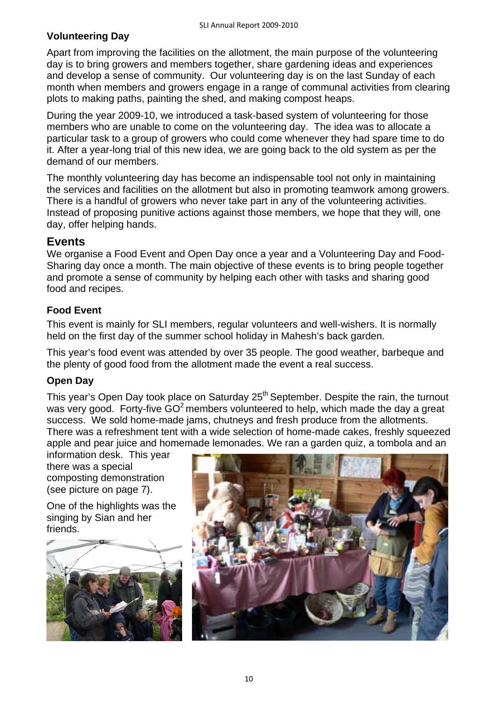## **Volunteering Day**

Apart from improving the facilities on the allotment, the main purpose of the volunteering day is to bring growers and members together, share gardening ideas and experiences and develop a sense of community. Our volunteering day is on the last Sunday of each month when members and growers engage in a range of communal activities from clearing plots to making paths, painting the shed, and making compost heaps.

During the year 2009-10, we introduced a task-based system of volunteering for those members who are unable to come on the volunteering day. The idea was to allocate a particular task to a group of growers who could come whenever they had spare time to do it. After a year-long trial of this new idea, we are going back to the old system as per the demand of our members.

The monthly volunteering day has become an indispensable tool not only in maintaining the services and facilities on the allotment but also in promoting teamwork among growers. There is a handful of growers who never take part in any of the volunteering activities. Instead of proposing punitive actions against those members, we hope that they will, one day, offer helping hands.

## **Events**

We organise a Food Event and Open Day once a year and a Volunteering Day and Food-Sharing day once a month. The main objective of these events is to bring people together and promote a sense of community by helping each other with tasks and sharing good food and recipes.

## **Food Event**

This event is mainly for SLI members, regular volunteers and well-wishers. It is normally held on the first day of the summer school holiday in Mahesh's back garden.

This year's food event was attended by over 35 people. The good weather, barbeque and the plenty of good food from the allotment made the event a real success.

## **Open Day**

This year's Open Day took place on Saturday 25<sup>th</sup> September. Despite the rain, the turnout was very good. Forty-five  $GO^2$  members volunteered to help, which made the day a great success. We sold home-made jams, chutneys and fresh produce from the allotments. There was a refreshment tent with a wide selection of home-made cakes, freshly squeezed apple and pear juice and homemade lemonades. We ran a garden quiz, a tombola and an

information desk. This year there was a special composting demonstration (see picture on page 7).

One of the highlights was the singing by Sian and her friends.



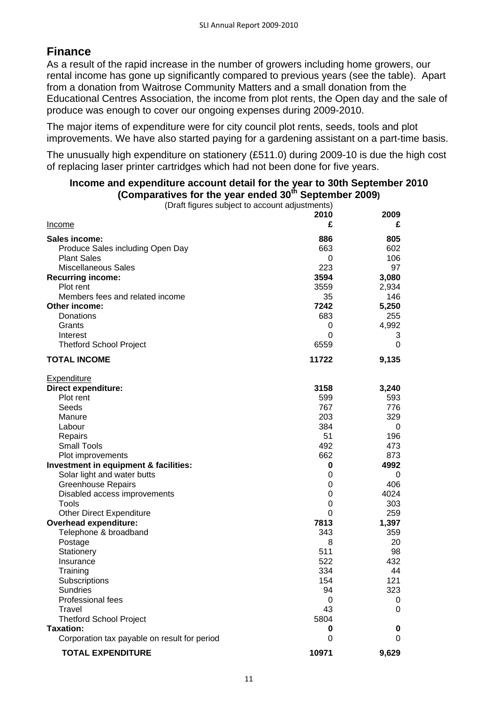# **Finance**

As a result of the rapid increase in the number of growers including home growers, our rental income has gone up significantly compared to previous years (see the table). Apart from a donation from Waitrose Community Matters and a small donation from the Educational Centres Association, the income from plot rents, the Open day and the sale of produce was enough to cover our ongoing expenses during 2009-2010.

The major items of expenditure were for city council plot rents, seeds, tools and plot improvements. We have also started paying for a gardening assistant on a part-time basis.

The unusually high expenditure on stationery (£511.0) during 2009-10 is due the high cost of replacing laser printer cartridges which had not been done for five years.

| (Comparatives for the year ended 30" September 2009)<br>(Draft figures subject to account adjustments) |           |           |
|--------------------------------------------------------------------------------------------------------|-----------|-----------|
|                                                                                                        |           |           |
|                                                                                                        | 2010<br>£ | 2009<br>£ |
| <u>Income</u>                                                                                          |           |           |
| Sales income:                                                                                          | 886       | 805       |
| Produce Sales including Open Day                                                                       | 663       | 602       |
| <b>Plant Sales</b>                                                                                     | 0         | 106       |
| <b>Miscellaneous Sales</b>                                                                             | 223       | 97        |
| <b>Recurring income:</b>                                                                               | 3594      | 3,080     |
| Plot rent                                                                                              | 3559      | 2,934     |
| Members fees and related income                                                                        | 35        | 146       |
| Other income:                                                                                          | 7242      | 5,250     |
| Donations                                                                                              | 683       | 255       |
| Grants                                                                                                 | 0         | 4,992     |
| Interest                                                                                               | 0         | 3         |
| <b>Thetford School Project</b>                                                                         | 6559      | 0         |
|                                                                                                        |           |           |
| <b>TOTAL INCOME</b>                                                                                    | 11722     | 9,135     |
| Expenditure                                                                                            |           |           |
| <b>Direct expenditure:</b>                                                                             | 3158      | 3,240     |
| Plot rent                                                                                              | 599       | 593       |
| Seeds                                                                                                  | 767       | 776       |
| Manure                                                                                                 | 203       | 329       |
| Labour                                                                                                 | 384       | 0         |
| Repairs                                                                                                | 51        | 196       |
| <b>Small Tools</b>                                                                                     | 492       | 473       |
| Plot improvements                                                                                      | 662       | 873       |
| Investment in equipment & facilities:                                                                  | 0         | 4992      |
| Solar light and water butts                                                                            | 0         | 0         |
| <b>Greenhouse Repairs</b>                                                                              | 0         | 406       |
| Disabled access improvements                                                                           | 0         | 4024      |
| Tools                                                                                                  | 0         | 303       |
| <b>Other Direct Expenditure</b>                                                                        | 0         | 259       |
| Overhead expenditure:                                                                                  | 7813      | 1,397     |
| Telephone & broadband                                                                                  | 343       | 359       |
| Postage                                                                                                | 8         | 20        |
| Stationery                                                                                             | 511       | 98        |
| Insurance                                                                                              | 522       | 432       |
| Training                                                                                               | 334       | 44        |
| Subscriptions                                                                                          | 154       | 121       |
| <b>Sundries</b>                                                                                        | 94        | 323       |
| Professional fees                                                                                      | 0         | 0         |
| Travel                                                                                                 | 43        | 0         |
| <b>Thetford School Project</b>                                                                         | 5804      |           |
| <b>Taxation:</b>                                                                                       | 0         | 0         |
| Corporation tax payable on result for period                                                           | 0         | 0         |

#### **Income and expenditure account detail for the year to 30th September 2010**  (Comparatives for the year ended 30<sup>th</sup> September 2009)

**TOTAL EXPENDITURE 10971 9,629**